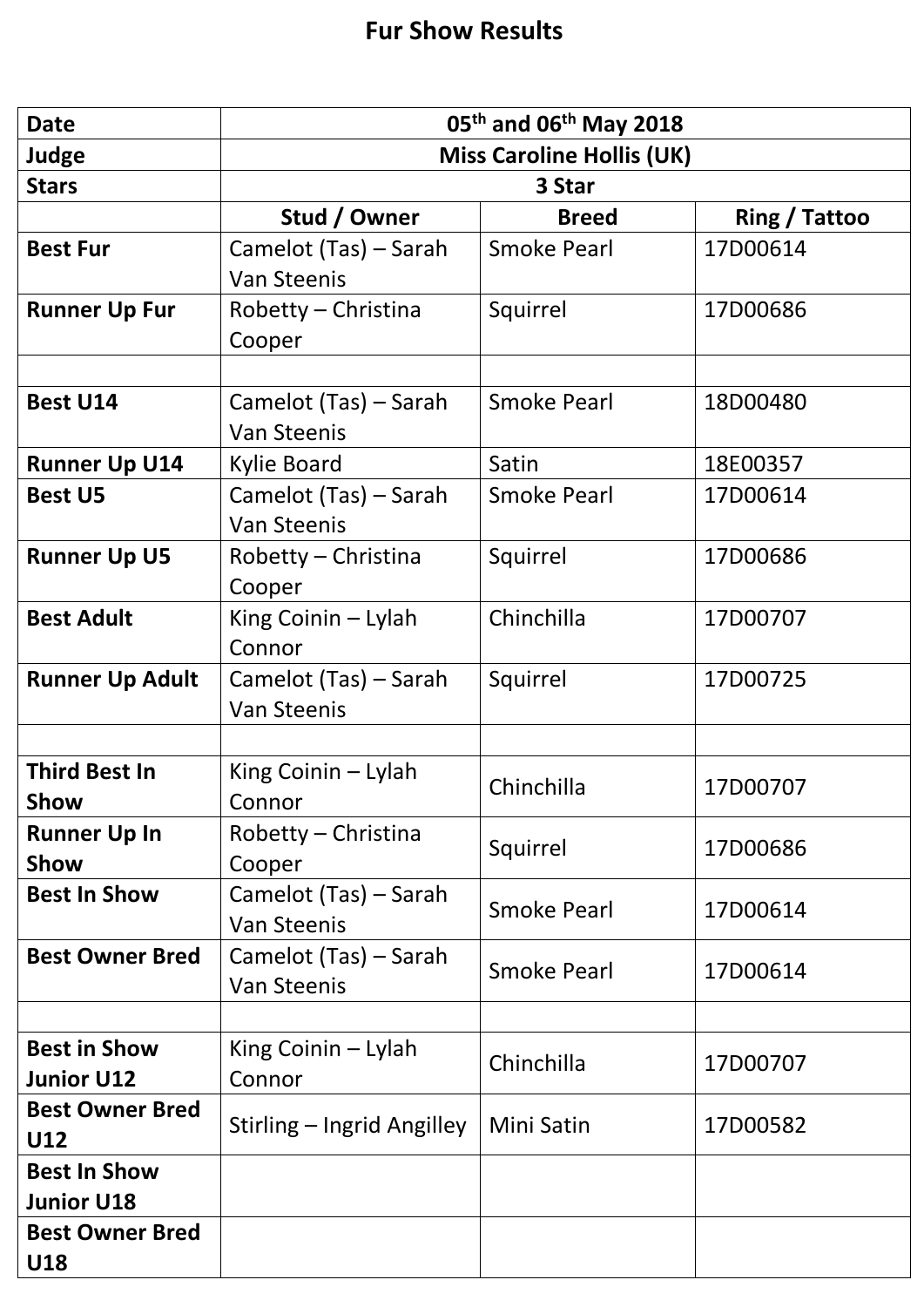| <b>Date</b>                              | 05 <sup>th</sup> and 06 <sup>th</sup> May 2018 |                    |                      |
|------------------------------------------|------------------------------------------------|--------------------|----------------------|
| Judge                                    | <b>Miss Caroline Hollis (UK)</b>               |                    |                      |
| <b>Stars</b>                             | 3 Star                                         |                    |                      |
|                                          | Stud / Owner                                   | <b>Breed</b>       | <b>Ring / Tattoo</b> |
| <b>Best Fur</b>                          | Camelot (Tas) – Sarah                          | <b>Smoke Pearl</b> | 17D00614             |
|                                          | <b>Van Steenis</b>                             |                    |                      |
| <b>Runner Up Fur</b>                     | Robetty - Christina<br>Cooper                  | Squirrel           | 17D00686             |
|                                          |                                                |                    |                      |
| <b>Best U14</b>                          | Camelot (Tas) – Sarah<br><b>Van Steenis</b>    | <b>Smoke Pearl</b> | 18D00480             |
| <b>Runner Up U14</b>                     | <b>Kylie Board</b>                             | Satin              | 18E00357             |
| <b>Best U5</b>                           | Camelot (Tas) - Sarah<br><b>Van Steenis</b>    | <b>Smoke Pearl</b> | 17D00614             |
| <b>Runner Up U5</b>                      | Robetty - Christina<br>Cooper                  | Squirrel           | 17D00686             |
| <b>Best Adult</b>                        | King Coinin - Lylah<br>Connor                  | Chinchilla         | 17D00707             |
| <b>Runner Up Adult</b>                   | Camelot (Tas) – Sarah<br><b>Van Steenis</b>    | Squirrel           | 17D00725             |
|                                          |                                                |                    |                      |
| <b>Third Best In</b><br>Show             | King Coinin - Lylah<br>Connor                  | Chinchilla         | 17D00707             |
| <b>Runner Up In</b><br>Show              | Robetty - Christina<br>Cooper                  | Squirrel           | 17D00686             |
| <b>Best In Show</b>                      | Camelot (Tas) – Sarah<br><b>Van Steenis</b>    | <b>Smoke Pearl</b> | 17D00614             |
| <b>Best Owner Bred</b>                   | Camelot (Tas) – Sarah<br><b>Van Steenis</b>    | <b>Smoke Pearl</b> | 17D00614             |
|                                          |                                                |                    |                      |
| <b>Best in Show</b><br><b>Junior U12</b> | King Coinin - Lylah<br>Connor                  | Chinchilla         | 17D00707             |
| <b>Best Owner Bred</b><br>U12            | Stirling – Ingrid Angilley                     | Mini Satin         | 17D00582             |
| <b>Best In Show</b>                      |                                                |                    |                      |
| <b>Junior U18</b>                        |                                                |                    |                      |
| <b>Best Owner Bred</b><br>U18            |                                                |                    |                      |